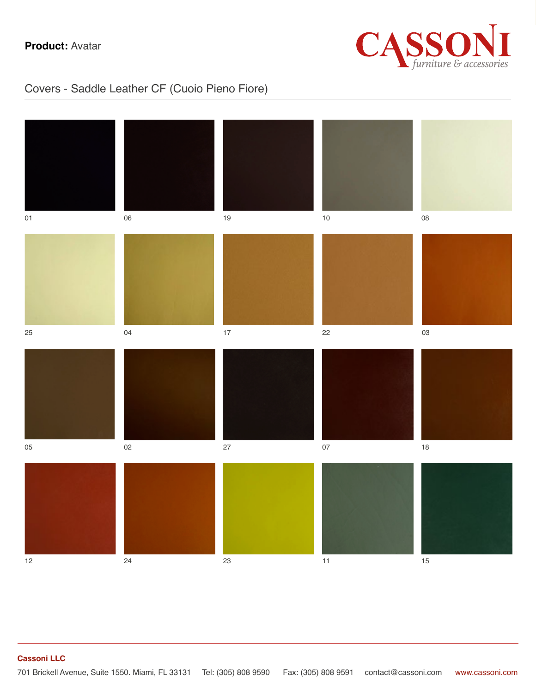

### Covers - Saddle Leather CF (Cuoio Pieno Fiore)

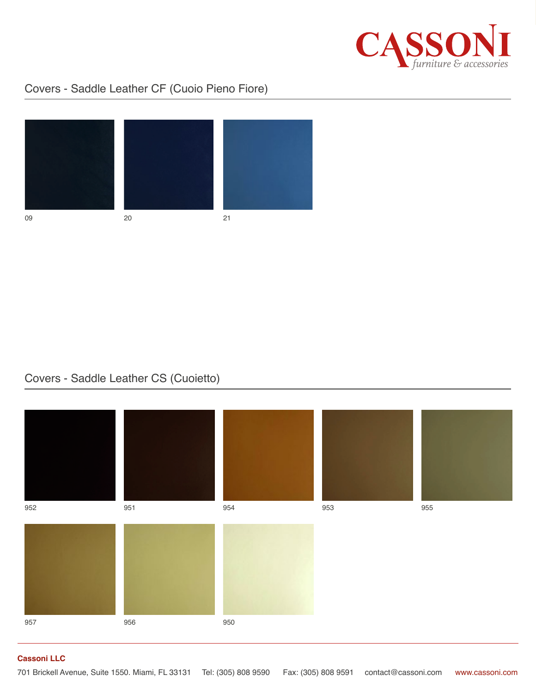

## Covers - Saddle Leather CF (Cuoio Pieno Fiore)



09 20 21

#### Covers - Saddle Leather CS (Cuoietto)

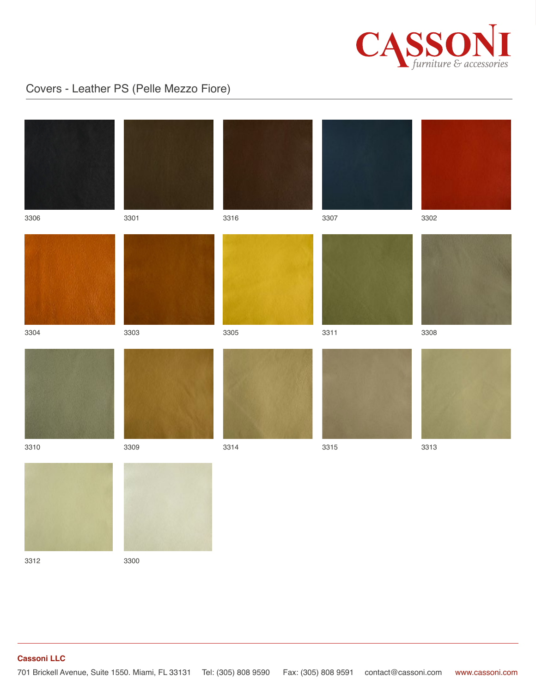

# Covers - Leather PS (Pelle Mezzo Fiore)



3312 3300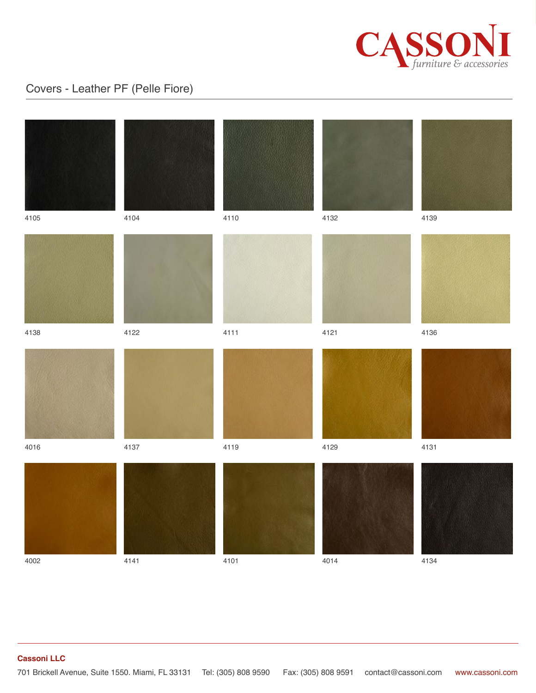

### Covers - Leather PF (Pelle Fiore)

| 4105         | 4104         | 4110         | 4132         | 4139         |
|--------------|--------------|--------------|--------------|--------------|
| 4138         | 4122         | 4111         | 4121         | 4136         |
|              |              |              |              |              |
| 4016<br>4002 | 4137<br>4141 | 4119<br>4101 | 4129<br>4014 | 4131<br>4134 |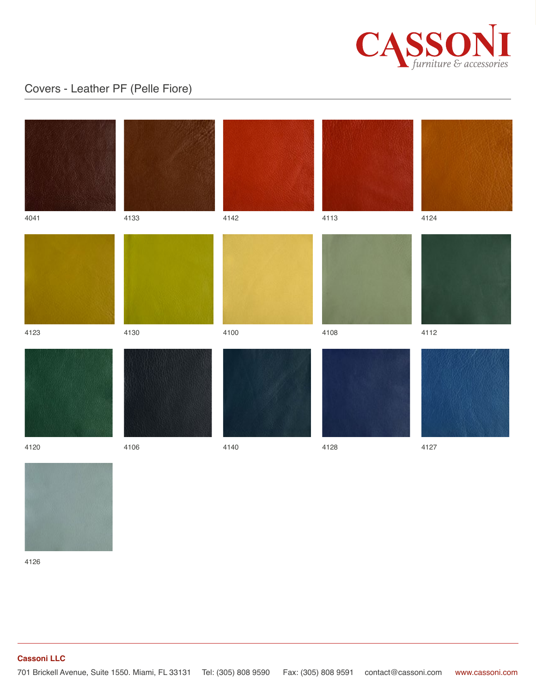

# Covers - Leather PF (Pelle Fiore)





4126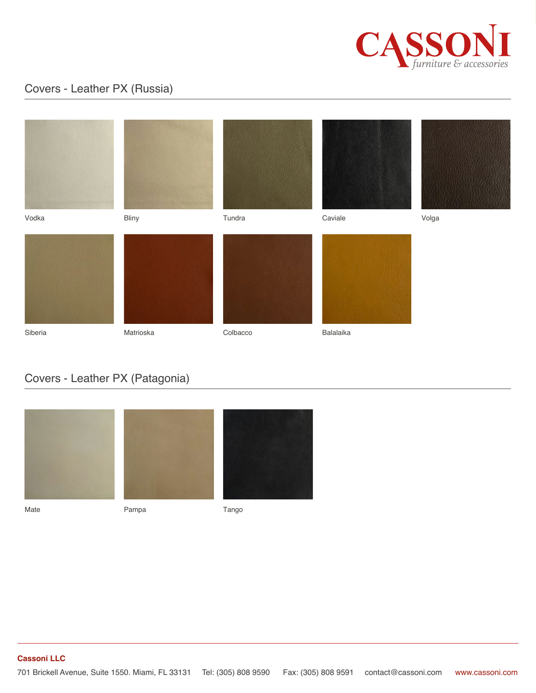

### Covers - Leather PX (Russia)

| Vodka   | Bliny     | Tundra   | Caviale   | Volga |
|---------|-----------|----------|-----------|-------|
| Siberia | Matrioska | Colbacco | Balalaika |       |

### Covers - Leather PX (Patagonia)



Mate **Mate** Pampa **Pampa** Tango

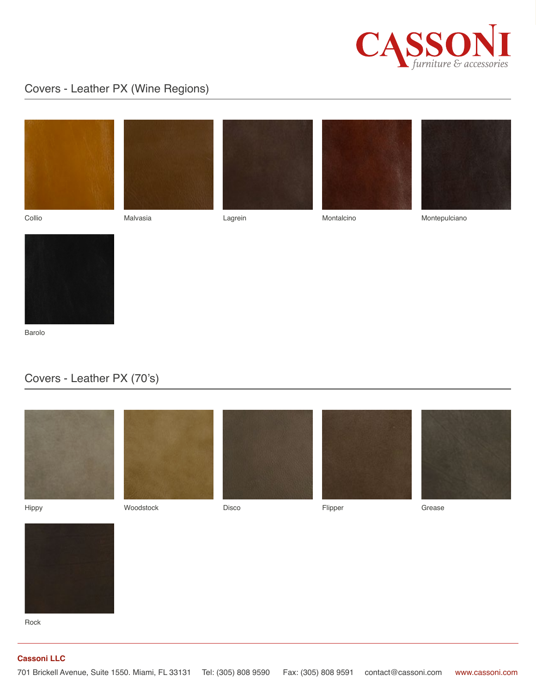

### Covers - Leather PX (Wine Regions)









Collio Malvasia Lagrein Montalcino



Montepulciano



Barolo

### Covers - Leather PX (70's)





Rock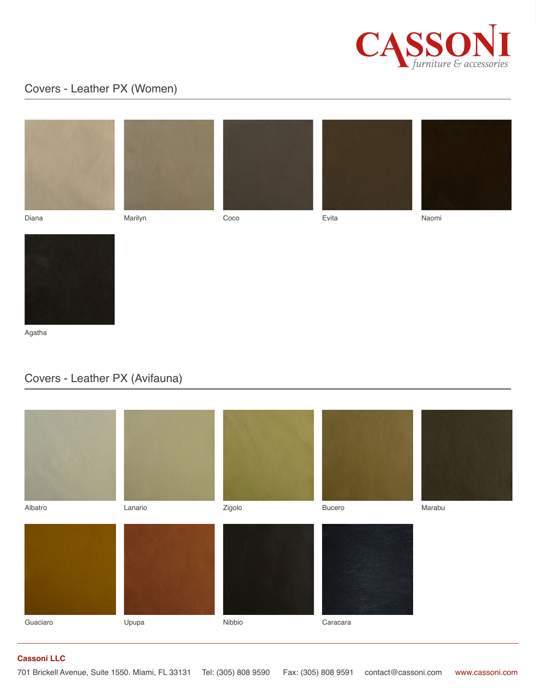

### Covers - Leather PX (Women)







Diana Marilyn Coco Evita





Naomi



Agatha

#### Covers - Leather PX (Avifauna)

| Albatro  | Lanario | Zigolo | Bucero   | Marabu |
|----------|---------|--------|----------|--------|
| Guaciaro | Upupa   | Nibbio | Caracara |        |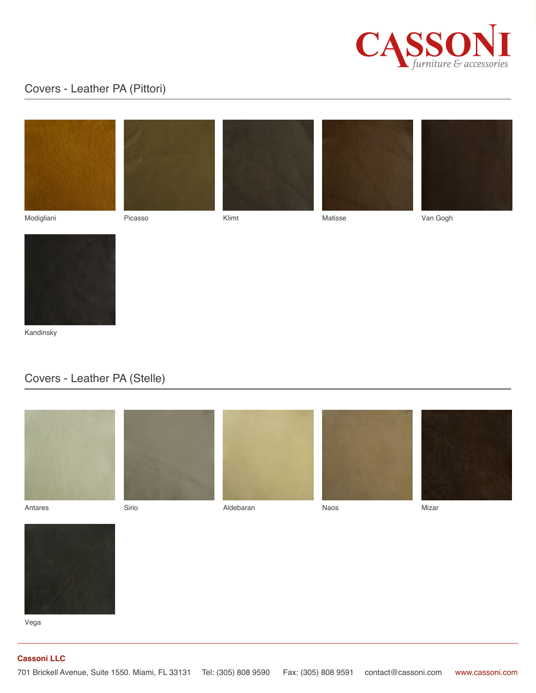

### Covers - Leather PA (Pittori)











Picasso Klimt Matisse Van Gogh





Kandinsky

#### Covers - Leather PA (Stelle)



Vega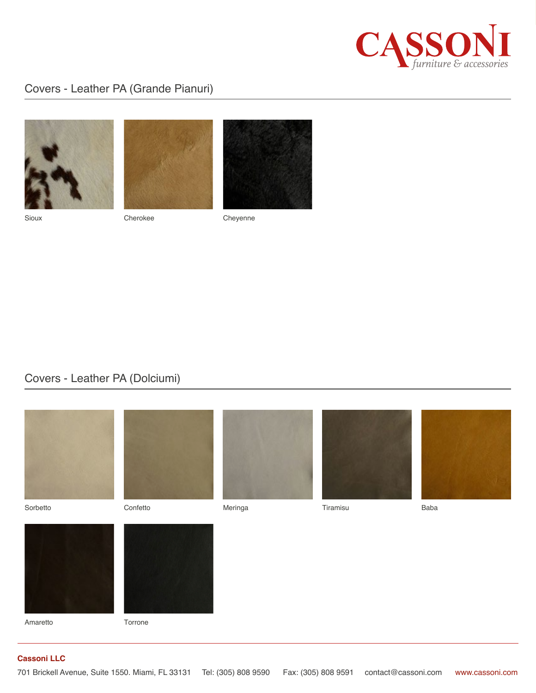

### Covers - Leather PA (Grande Pianuri)







Sioux Cherokee Cheyenne

#### Covers - Leather PA (Dolciumi)